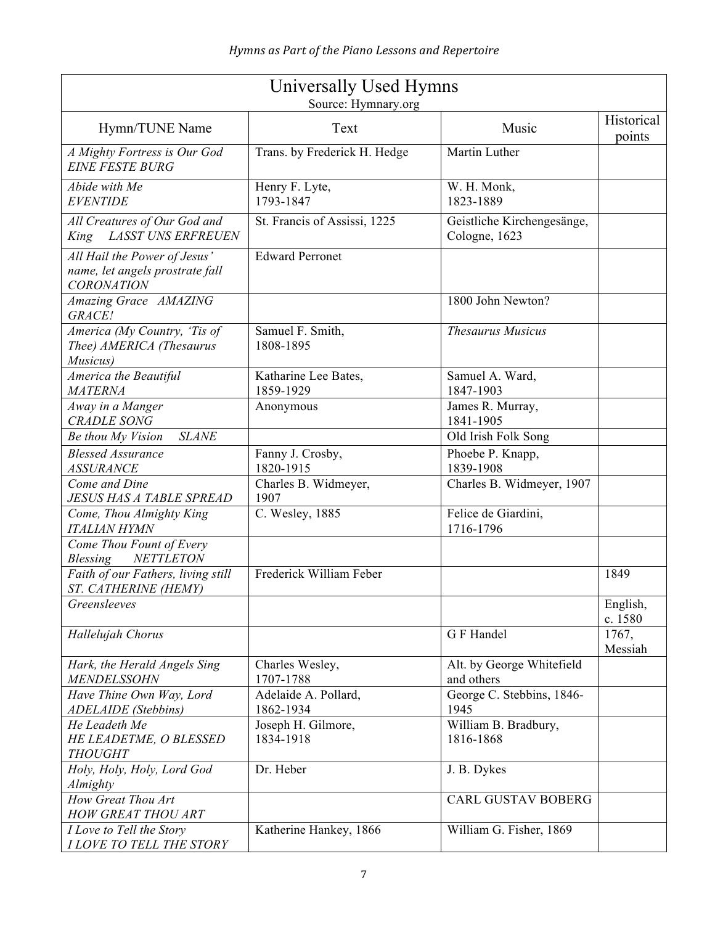| Universally Used Hymns<br>Source: Hymnary.org                                        |                                   |                                             |                      |  |  |
|--------------------------------------------------------------------------------------|-----------------------------------|---------------------------------------------|----------------------|--|--|
| Hymn/TUNE Name                                                                       | Text                              | Music                                       | Historical<br>points |  |  |
| A Mighty Fortress is Our God<br><b>EINE FESTE BURG</b>                               | Trans. by Frederick H. Hedge      | Martin Luther                               |                      |  |  |
| Abide with Me<br><b>EVENTIDE</b>                                                     | Henry F. Lyte,<br>1793-1847       | W. H. Monk,<br>1823-1889                    |                      |  |  |
| All Creatures of Our God and<br><b>LASST UNS ERFREUEN</b><br>King                    | St. Francis of Assissi, 1225      | Geistliche Kirchengesänge,<br>Cologne, 1623 |                      |  |  |
| All Hail the Power of Jesus'<br>name, let angels prostrate fall<br><b>CORONATION</b> | <b>Edward Perronet</b>            |                                             |                      |  |  |
| Amazing Grace AMAZING<br>GRACE!                                                      |                                   | 1800 John Newton?                           |                      |  |  |
| America (My Country, 'Tis of<br>Thee) AMERICA (Thesaurus<br>Musicus)                 | Samuel F. Smith,<br>1808-1895     | <b>Thesaurus Musicus</b>                    |                      |  |  |
| America the Beautiful<br><b>MATERNA</b>                                              | Katharine Lee Bates,<br>1859-1929 | Samuel A. Ward,<br>1847-1903                |                      |  |  |
| Away in a Manger<br><b>CRADLE SONG</b>                                               | Anonymous                         | James R. Murray,<br>1841-1905               |                      |  |  |
| <b>SLANE</b><br>Be thou My Vision                                                    |                                   | Old Irish Folk Song                         |                      |  |  |
| <b>Blessed Assurance</b>                                                             | Fanny J. Crosby,                  | Phoebe P. Knapp,                            |                      |  |  |
| <b>ASSURANCE</b>                                                                     | 1820-1915                         | 1839-1908                                   |                      |  |  |
| Come and Dine<br>JESUS HAS A TABLE SPREAD                                            | Charles B. Widmeyer,<br>1907      | Charles B. Widmeyer, 1907                   |                      |  |  |
| Come, Thou Almighty King<br><b>ITALIAN HYMN</b>                                      | C. Wesley, 1885                   | Felice de Giardini,<br>1716-1796            |                      |  |  |
| Come Thou Fount of Every<br><b>NETTLETON</b><br>Blessing                             |                                   |                                             |                      |  |  |
| Faith of our Fathers, living still<br>ST. CATHERINE (HEMY)                           | Frederick William Feber           |                                             | 1849                 |  |  |
| Greensleeves                                                                         |                                   |                                             | English,<br>c. 1580  |  |  |
| Hallelujah Chorus                                                                    |                                   | G F Handel                                  | 1767,<br>Messiah     |  |  |
| Hark, the Herald Angels Sing<br><b>MENDELSSOHN</b>                                   | Charles Wesley,<br>1707-1788      | Alt. by George Whitefield<br>and others     |                      |  |  |
| Have Thine Own Way, Lord<br><b>ADELAIDE</b> (Stebbins)                               | Adelaide A. Pollard,<br>1862-1934 | George C. Stebbins, 1846-<br>1945           |                      |  |  |
| He Leadeth Me<br>HE LEADETME, O BLESSED<br><b>THOUGHT</b>                            | Joseph H. Gilmore,<br>1834-1918   | William B. Bradbury,<br>1816-1868           |                      |  |  |
| Holy, Holy, Holy, Lord God<br>Almighty                                               | Dr. Heber                         | J. B. Dykes                                 |                      |  |  |
| How Great Thou Art<br><b>HOW GREAT THOU ART</b>                                      |                                   | <b>CARL GUSTAV BOBERG</b>                   |                      |  |  |
| I Love to Tell the Story<br><b>ILOVE TO TELL THE STORY</b>                           | Katherine Hankey, 1866            | William G. Fisher, 1869                     |                      |  |  |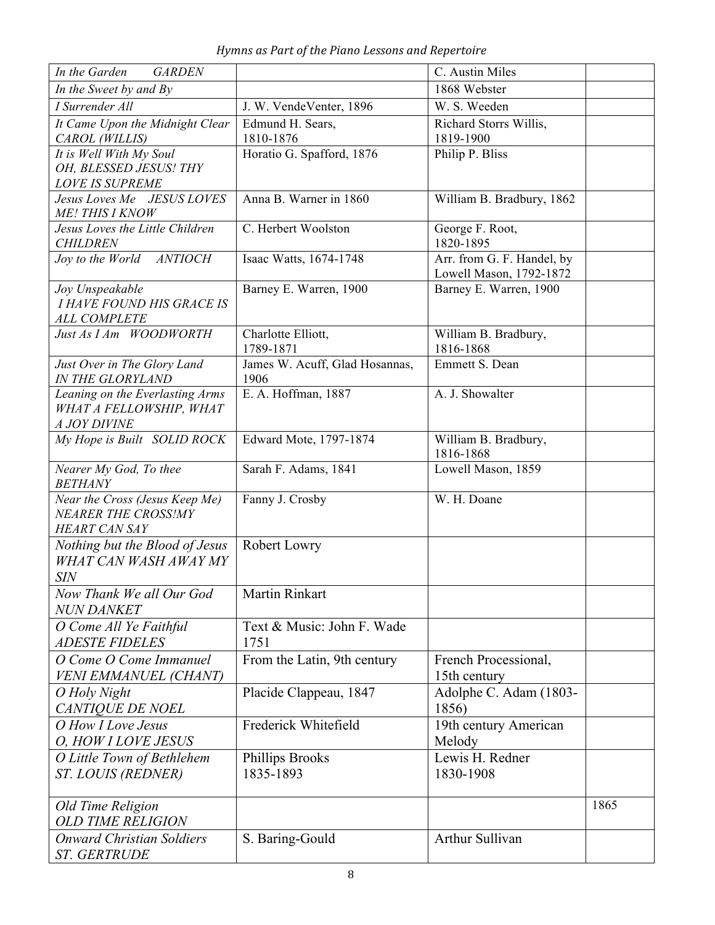*Hymns as Part of the Piano Lessons and Repertoire*

| In the Garden<br><b>GARDEN</b>                             |                                | C. Austin Miles            |      |
|------------------------------------------------------------|--------------------------------|----------------------------|------|
| In the Sweet by and By                                     |                                | 1868 Webster               |      |
| I Surrender All                                            | J. W. VendeVenter, 1896        | W. S. Weeden               |      |
| It Came Upon the Midnight Clear                            | Edmund H. Sears,               | Richard Storrs Willis,     |      |
| CAROL (WILLIS)                                             | 1810-1876                      | 1819-1900                  |      |
| It is Well With My Soul                                    | Horatio G. Spafford, 1876      | Philip P. Bliss            |      |
| OH, BLESSED JESUS! THY                                     |                                |                            |      |
| <b>LOVE IS SUPREME</b>                                     |                                |                            |      |
| Jesus Loves Me JESUS LOVES<br><b>ME! THIS I KNOW</b>       | Anna B. Warner in 1860         | William B. Bradbury, 1862  |      |
| Jesus Loves the Little Children                            | C. Herbert Woolston            | George F. Root,            |      |
| <b>CHILDREN</b>                                            |                                | 1820-1895                  |      |
| <i>ANTIOCH</i><br>Joy to the World                         | Isaac Watts, 1674-1748         | Arr. from G. F. Handel, by |      |
|                                                            |                                | Lowell Mason, 1792-1872    |      |
| Joy Unspeakable                                            | Barney E. Warren, 1900         | Barney E. Warren, 1900     |      |
| <b>I HAVE FOUND HIS GRACE IS</b>                           |                                |                            |      |
| <b>ALL COMPLETE</b>                                        |                                |                            |      |
| Just As I Am WOODWORTH                                     | Charlotte Elliott,             | William B. Bradbury,       |      |
|                                                            | 1789-1871                      | 1816-1868                  |      |
| Just Over in The Glory Land                                | James W. Acuff, Glad Hosannas, | Emmett S. Dean             |      |
| <b>IN THE GLORYLAND</b>                                    | 1906                           | A. J. Showalter            |      |
| Leaning on the Everlasting Arms<br>WHAT A FELLOWSHIP, WHAT | E. A. Hoffman, 1887            |                            |      |
| A JOY DIVINE                                               |                                |                            |      |
| My Hope is Built SOLID ROCK                                | Edward Mote, 1797-1874         | William B. Bradbury,       |      |
|                                                            |                                | 1816-1868                  |      |
| Nearer My God, To thee                                     | Sarah F. Adams, 1841           | Lowell Mason, 1859         |      |
| <b>BETHANY</b>                                             |                                |                            |      |
| Near the Cross (Jesus Keep Me)                             | Fanny J. Crosby                | W. H. Doane                |      |
| <b>NEARER THE CROSS!MY</b>                                 |                                |                            |      |
| <b>HEART CAN SAY</b>                                       |                                |                            |      |
| Nothing but the Blood of Jesus                             | Robert Lowry                   |                            |      |
| WHAT CAN WASH AWAY MY                                      |                                |                            |      |
| <b>SIN</b>                                                 |                                |                            |      |
| Now Thank We all Our God                                   | Martin Rinkart                 |                            |      |
| <b>NUN DANKET</b>                                          |                                |                            |      |
| O Come All Ye Faithful                                     | Text & Music: John F. Wade     |                            |      |
| <b>ADESTE FIDELES</b>                                      | 1751                           |                            |      |
| O Come O Come Immanuel                                     | From the Latin, 9th century    | French Processional,       |      |
| VENI EMMANUEL (CHANT)                                      |                                | 15th century               |      |
| O Holy Night                                               | Placide Clappeau, 1847         | Adolphe C. Adam (1803-     |      |
| CANTIQUE DE NOEL                                           |                                | 1856)                      |      |
| O How I Love Jesus                                         | Frederick Whitefield           | 19th century American      |      |
| O, HOW I LOVE JESUS                                        |                                | Melody                     |      |
| O Little Town of Bethlehem                                 | <b>Phillips Brooks</b>         | Lewis H. Redner            |      |
| <i><b>ST. LOUIS (REDNER)</b></i>                           | 1835-1893                      | 1830-1908                  |      |
|                                                            |                                |                            |      |
| Old Time Religion                                          |                                |                            | 1865 |
| <b>OLD TIME RELIGION</b>                                   |                                |                            |      |
| <b>Onward Christian Soldiers</b>                           | S. Baring-Gould                | Arthur Sullivan            |      |
| <b>ST. GERTRUDE</b>                                        |                                |                            |      |
|                                                            |                                |                            |      |